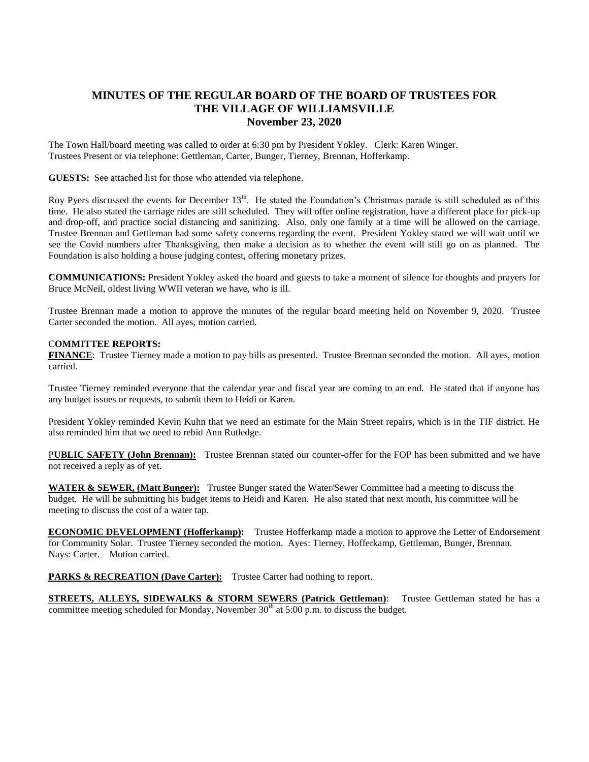## **MINUTES OF THE REGULAR BOARD OF THE BOARD OF TRUSTEES FOR THE VILLAGE OF WILLIAMSVILLE November 23, 2020**

The Town Hall/board meeting was called to order at 6:30 pm by President Yokley. Clerk: Karen Winger. Trustees Present or via telephone: Gettleman, Carter, Bunger, Tierney, Brennan, Hofferkamp.

**GUESTS:** See attached list for those who attended via telephone.

Roy Pyers discussed the events for December  $13<sup>th</sup>$ . He stated the Foundation's Christmas parade is still scheduled as of this time. He also stated the carriage rides are still scheduled. They will offer online registration, have a different place for pick-up and drop-off, and practice social distancing and sanitizing. Also, only one family at a time will be allowed on the carriage. Trustee Brennan and Gettleman had some safety concerns regarding the event. President Yokley stated we will wait until we see the Covid numbers after Thanksgiving, then make a decision as to whether the event will still go on as planned. The Foundation is also holding a house judging contest, offering monetary prizes.

**COMMUNICATIONS:** President Yokley asked the board and guests to take a moment of silence for thoughts and prayers for Bruce McNeil, oldest living WWII veteran we have, who is ill.

Trustee Brennan made a motion to approve the minutes of the regular board meeting held on November 9, 2020. Trustee Carter seconded the motion. All ayes, motion carried.

## C**OMMITTEE REPORTS:**

**FINANCE**: Trustee Tierney made a motion to pay bills as presented. Trustee Brennan seconded the motion. All ayes, motion carried.

Trustee Tierney reminded everyone that the calendar year and fiscal year are coming to an end. He stated that if anyone has any budget issues or requests, to submit them to Heidi or Karen.

President Yokley reminded Kevin Kuhn that we need an estimate for the Main Street repairs, which is in the TIF district. He also reminded him that we need to rebid Ann Rutledge.

P**UBLIC SAFETY (John Brennan):** Trustee Brennan stated our counter-offer for the FOP has been submitted and we have not received a reply as of yet.

**WATER & SEWER, (Matt Bunger):** Trustee Bunger stated the Water/Sewer Committee had a meeting to discuss the budget. He will be submitting his budget items to Heidi and Karen. He also stated that next month, his committee will be meeting to discuss the cost of a water tap.

**ECONOMIC DEVELOPMENT (Hofferkamp):** Trustee Hofferkamp made a motion to approve the Letter of Endorsement for Community Solar. Trustee Tierney seconded the motion. Ayes: Tierney, Hofferkamp, Gettleman, Bunger, Brennan. Nays: Carter. Motion carried.

**PARKS & RECREATION (Dave Carter):** Trustee Carter had nothing to report.

**STREETS, ALLEYS, SIDEWALKS & STORM SEWERS (Patrick Gettleman)**: Trustee Gettleman stated he has a committee meeting scheduled for Monday, November  $30<sup>th</sup>$  at 5:00 p.m. to discuss the budget.